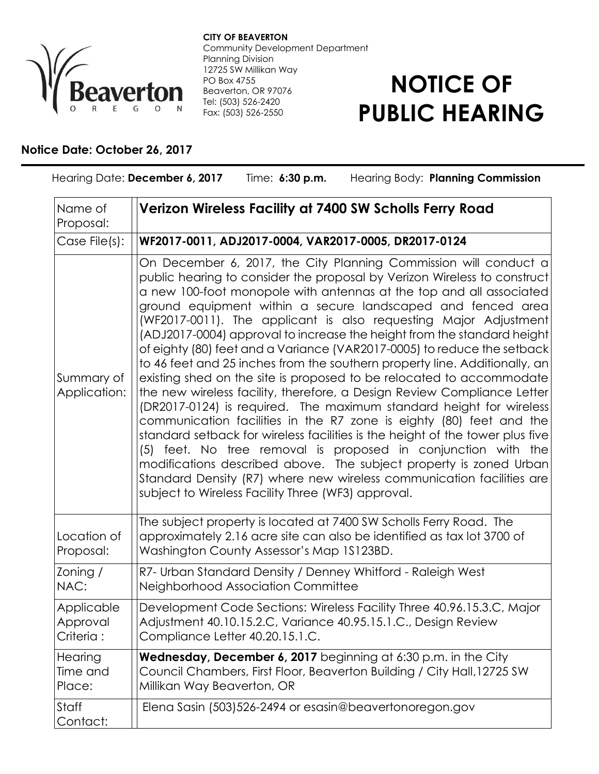

**CITY OF BEAVERTON** Community Development Department Planning Division 12725 SW Millikan Way PO Box 4755 Beaverton, OR 97076 Tel: (503) 526-2420 Fax: (503) 526-2550

## **NOTICE OF PUBLIC HEARING**

## **Notice Date: October 26, 2017**

| Hearing Date: December 6, 2017<br>Hearing Body: Planning Commission<br>Time: 6:30 p.m. |                                                                                                                                                                                                                                                                                                                                                                                                                                                                                                                                                                                                                                                                                                                                                                                                                                                                                                                                                                                                                                                                                                                                                                                                                                                    |
|----------------------------------------------------------------------------------------|----------------------------------------------------------------------------------------------------------------------------------------------------------------------------------------------------------------------------------------------------------------------------------------------------------------------------------------------------------------------------------------------------------------------------------------------------------------------------------------------------------------------------------------------------------------------------------------------------------------------------------------------------------------------------------------------------------------------------------------------------------------------------------------------------------------------------------------------------------------------------------------------------------------------------------------------------------------------------------------------------------------------------------------------------------------------------------------------------------------------------------------------------------------------------------------------------------------------------------------------------|
| Name of<br>Proposal:                                                                   | Verizon Wireless Facility at 7400 SW Scholls Ferry Road                                                                                                                                                                                                                                                                                                                                                                                                                                                                                                                                                                                                                                                                                                                                                                                                                                                                                                                                                                                                                                                                                                                                                                                            |
| Case File(s):                                                                          | WF2017-0011, ADJ2017-0004, VAR2017-0005, DR2017-0124                                                                                                                                                                                                                                                                                                                                                                                                                                                                                                                                                                                                                                                                                                                                                                                                                                                                                                                                                                                                                                                                                                                                                                                               |
| Summary of<br>Application:                                                             | On December 6, 2017, the City Planning Commission will conduct a<br>public hearing to consider the proposal by Verizon Wireless to construct<br>a new 100-foot monopole with antennas at the top and all associated<br>ground equipment within a secure landscaped and fenced area<br>(WF2017-0011). The applicant is also requesting Major Adjustment<br>(ADJ2017-0004) approval to increase the height from the standard height<br>of eighty (80) feet and a Variance (VAR2017-0005) to reduce the setback<br>to 46 feet and 25 inches from the southern property line. Additionally, an<br>existing shed on the site is proposed to be relocated to accommodate<br>the new wireless facility, therefore, a Design Review Compliance Letter<br>(DR2017-0124) is required. The maximum standard height for wireless<br>communication facilities in the R7 zone is eighty (80) feet and the<br>standard setback for wireless facilities is the height of the tower plus five<br>(5) feet. No tree removal is proposed in conjunction with the<br>modifications described above. The subject property is zoned Urban<br>Standard Density (R7) where new wireless communication facilities are<br>subject to Wireless Facility Three (WF3) approval. |
| Location of<br>Proposal:                                                               | The subject property is located at 7400 SW Scholls Ferry Road. The<br>approximately 2.16 acre site can also be identified as tax lot 3700 of<br>Washington County Assessor's Map 1S123BD.                                                                                                                                                                                                                                                                                                                                                                                                                                                                                                                                                                                                                                                                                                                                                                                                                                                                                                                                                                                                                                                          |
| Zoning /<br>NAC:                                                                       | R7- Urban Standard Density / Denney Whitford - Raleigh West<br>Neighborhood Association Committee                                                                                                                                                                                                                                                                                                                                                                                                                                                                                                                                                                                                                                                                                                                                                                                                                                                                                                                                                                                                                                                                                                                                                  |
| Applicable<br>Approval<br>Criteria :                                                   | Development Code Sections: Wireless Facility Three 40.96.15.3.C, Major<br>Adjustment 40.10.15.2.C, Variance 40.95.15.1.C., Design Review<br>Compliance Letter 40.20.15.1.C.                                                                                                                                                                                                                                                                                                                                                                                                                                                                                                                                                                                                                                                                                                                                                                                                                                                                                                                                                                                                                                                                        |
| Hearing<br>Time and<br>Place:                                                          | <b>Wednesday, December 6, 2017</b> beginning at 6:30 p.m. in the City<br>Council Chambers, First Floor, Beaverton Building / City Hall, 12725 SW<br>Millikan Way Beaverton, OR                                                                                                                                                                                                                                                                                                                                                                                                                                                                                                                                                                                                                                                                                                                                                                                                                                                                                                                                                                                                                                                                     |
| Staff<br>Contact:                                                                      | Elena Sasin (503)526-2494 or esasin@beavertonoregon.gov                                                                                                                                                                                                                                                                                                                                                                                                                                                                                                                                                                                                                                                                                                                                                                                                                                                                                                                                                                                                                                                                                                                                                                                            |